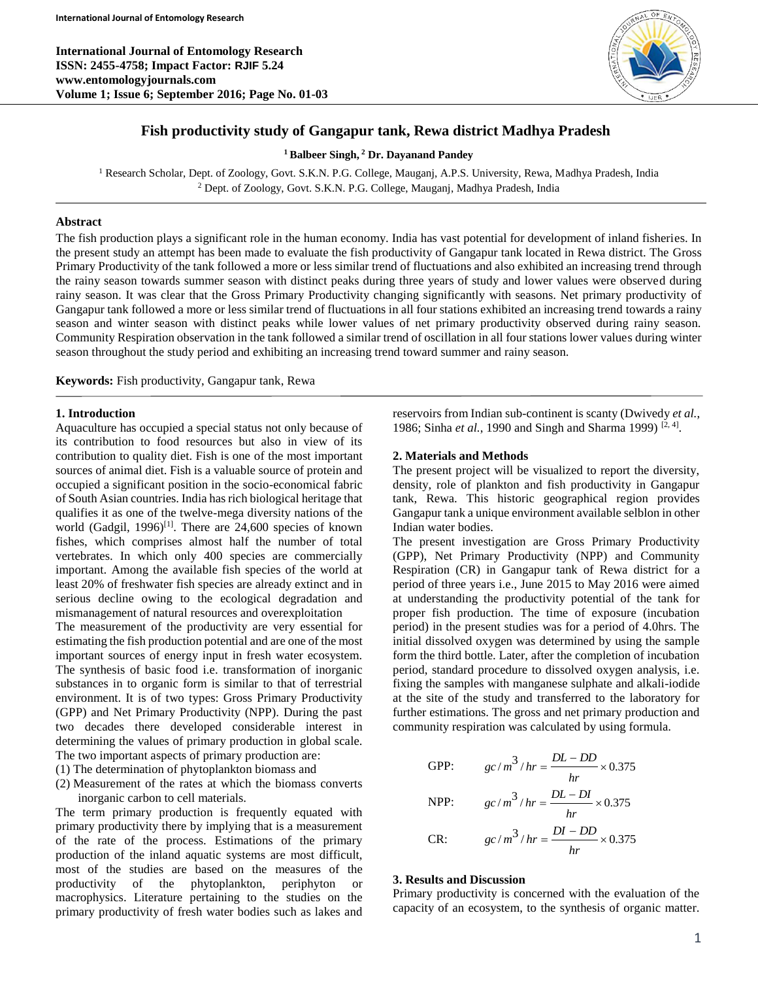**International Journal of Entomology Research ISSN: 2455-4758; Impact Factor: RJIF 5.24 www.entomologyjournals.com Volume 1; Issue 6; September 2016; Page No. 01-03**



## **Fish productivity study of Gangapur tank, Rewa district Madhya Pradesh**

**<sup>1</sup> Balbeer Singh, <sup>2</sup> Dr. Dayanand Pandey**

<sup>1</sup> Research Scholar, Dept. of Zoology, Govt. S.K.N. P.G. College, Mauganj, A.P.S. University, Rewa, Madhya Pradesh, India <sup>2</sup> Dept. of Zoology, Govt. S.K.N. P.G. College, Mauganj, Madhya Pradesh, India

### **Abstract**

The fish production plays a significant role in the human economy. India has vast potential for development of inland fisheries. In the present study an attempt has been made to evaluate the fish productivity of Gangapur tank located in Rewa district. The Gross Primary Productivity of the tank followed a more or less similar trend of fluctuations and also exhibited an increasing trend through the rainy season towards summer season with distinct peaks during three years of study and lower values were observed during rainy season. It was clear that the Gross Primary Productivity changing significantly with seasons. Net primary productivity of Gangapur tank followed a more or less similar trend of fluctuations in all four stations exhibited an increasing trend towards a rainy season and winter season with distinct peaks while lower values of net primary productivity observed during rainy season. Community Respiration observation in the tank followed a similar trend of oscillation in all four stations lower values during winter season throughout the study period and exhibiting an increasing trend toward summer and rainy season.

**Keywords:** Fish productivity, Gangapur tank, Rewa

#### **1. Introduction**

Aquaculture has occupied a special status not only because of its contribution to food resources but also in view of its contribution to quality diet. Fish is one of the most important sources of animal diet. Fish is a valuable source of protein and occupied a significant position in the socio-economical fabric of South Asian countries. India has rich biological heritage that qualifies it as one of the twelve-mega diversity nations of the world (Gadgil, 1996)<sup>[1]</sup>. There are  $24,600$  species of known fishes, which comprises almost half the number of total vertebrates. In which only 400 species are commercially important. Among the available fish species of the world at least 20% of freshwater fish species are already extinct and in serious decline owing to the ecological degradation and mismanagement of natural resources and overexploitation

The measurement of the productivity are very essential for estimating the fish production potential and are one of the most important sources of energy input in fresh water ecosystem. The synthesis of basic food i.e. transformation of inorganic substances in to organic form is similar to that of terrestrial environment. It is of two types: Gross Primary Productivity (GPP) and Net Primary Productivity (NPP). During the past two decades there developed considerable interest in determining the values of primary production in global scale. The two important aspects of primary production are:

(1) The determination of phytoplankton biomass and

(2) Measurement of the rates at which the biomass converts inorganic carbon to cell materials.

The term primary production is frequently equated with primary productivity there by implying that is a measurement of the rate of the process. Estimations of the primary production of the inland aquatic systems are most difficult, most of the studies are based on the measures of the productivity of the phytoplankton, periphyton or macrophysics. Literature pertaining to the studies on the primary productivity of fresh water bodies such as lakes and reservoirs from Indian sub-continent is scanty (Dwivedy *et al.*, 1986; Sinha et al., 1990 and Singh and Sharma 1999)<sup>[2, 4]</sup>.

#### **2. Materials and Methods**

The present project will be visualized to report the diversity, density, role of plankton and fish productivity in Gangapur tank, Rewa. This historic geographical region provides Gangapur tank a unique environment available selblon in other Indian water bodies.

The present investigation are Gross Primary Productivity (GPP), Net Primary Productivity (NPP) and Community Respiration (CR) in Gangapur tank of Rewa district for a period of three years i.e., June 2015 to May 2016 were aimed at understanding the productivity potential of the tank for proper fish production. The time of exposure (incubation period) in the present studies was for a period of 4.0hrs. The initial dissolved oxygen was determined by using the sample form the third bottle. Later, after the completion of incubation period, standard procedure to dissolved oxygen analysis, i.e. fixing the samples with manganese sulphate and alkali-iodide at the site of the study and transferred to the laboratory for further estimations. The gross and net primary production and community respiration was calculated by using formula.

GPP: 
$$
gc/m^3/hr = \frac{DL - DD}{hr} \times 0.375
$$
  
\nNPP:  $gc/m^3/hr = \frac{DL - DI}{hr} \times 0.375$   
\nCR:  $gc/m^3/hr = \frac{DI - DD}{hr} \times 0.375$ 

#### **3. Results and Discussion**

Primary productivity is concerned with the evaluation of the capacity of an ecosystem, to the synthesis of organic matter.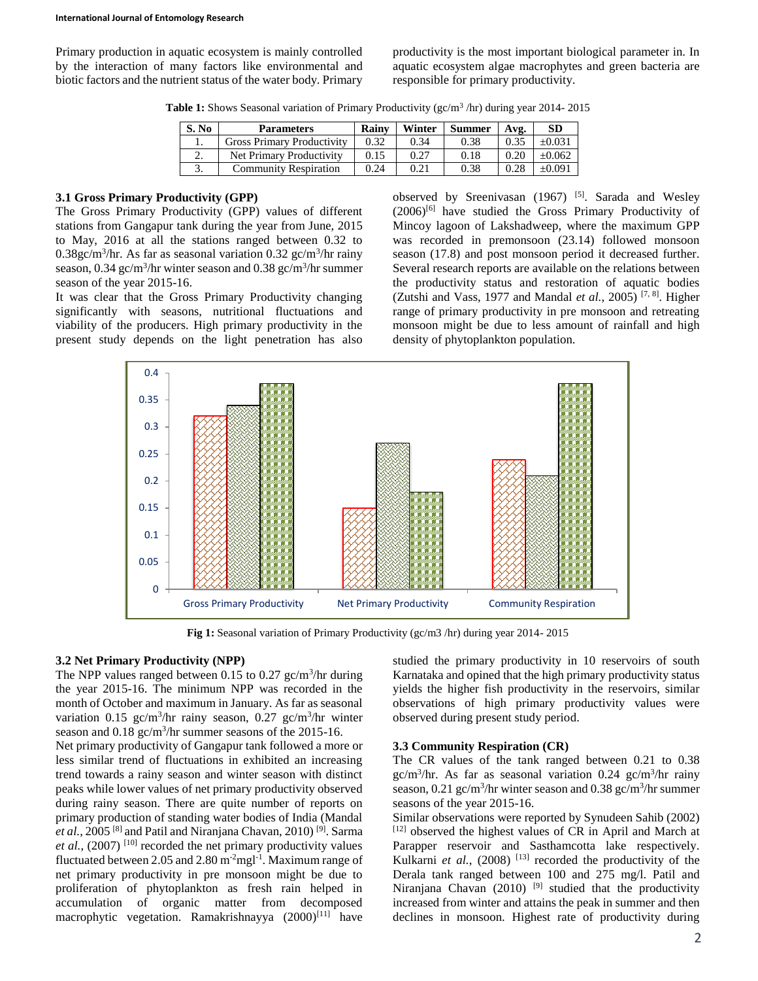Primary production in aquatic ecosystem is mainly controlled by the interaction of many factors like environmental and biotic factors and the nutrient status of the water body. Primary productivity is the most important biological parameter in. In aquatic ecosystem algae macrophytes and green bacteria are responsible for primary productivity.

Table 1: Shows Seasonal variation of Primary Productivity (gc/m<sup>3</sup>/hr) during year 2014-2015

| S. No | <b>Parameters</b>                 | <b>Rainv</b> | Winter | Summer | Avg. | <b>SD</b>   |
|-------|-----------------------------------|--------------|--------|--------|------|-------------|
|       | <b>Gross Primary Productivity</b> | 0.32         | 0.34   | 0.38   |      | $+0.03$     |
| ۷.    | Net Primary Productivity          | 0.15         | 0.27   | 0.18   |      | $+0.062$    |
|       | Community Respiration             | 0.24         | 0.21   | 0.38   |      | $\pm 0.091$ |

## **3.1 Gross Primary Productivity (GPP)**

The Gross Primary Productivity (GPP) values of different stations from Gangapur tank during the year from June, 2015 to May, 2016 at all the stations ranged between 0.32 to  $0.38$ gc/m<sup>3</sup>/hr. As far as seasonal variation  $0.32$  gc/m<sup>3</sup>/hr rainy season, 0.34 gc/m<sup>3</sup>/hr winter season and 0.38 gc/m<sup>3</sup>/hr summer season of the year 2015-16.

It was clear that the Gross Primary Productivity changing significantly with seasons, nutritional fluctuations and viability of the producers. High primary productivity in the present study depends on the light penetration has also observed by Sreenivasan (1967) [5]. Sarada and Wesley (2006)[6] have studied the Gross Primary Productivity of Mincoy lagoon of Lakshadweep, where the maximum GPP was recorded in premonsoon (23.14) followed monsoon season (17.8) and post monsoon period it decreased further. Several research reports are available on the relations between the productivity status and restoration of aquatic bodies (Zutshi and Vass, 1977 and Mandal *et al.*, 2005)<sup>[7, 8]</sup>. Higher range of primary productivity in pre monsoon and retreating monsoon might be due to less amount of rainfall and high density of phytoplankton population.



**Fig 1:** Seasonal variation of Primary Productivity (gc/m3 /hr) during year 2014- 2015

## **3.2 Net Primary Productivity (NPP)**

The NPP values ranged between 0.15 to 0.27  $\text{gc/m}^3/\text{hr}$  during the year 2015-16. The minimum NPP was recorded in the month of October and maximum in January. As far as seasonal variation 0.15 gc/m<sup>3</sup>/hr rainy season, 0.27 gc/m<sup>3</sup>/hr winter season and  $0.18$  gc/m<sup>3</sup>/hr summer seasons of the 2015-16.

Net primary productivity of Gangapur tank followed a more or less similar trend of fluctuations in exhibited an increasing trend towards a rainy season and winter season with distinct peaks while lower values of net primary productivity observed during rainy season. There are quite number of reports on primary production of standing water bodies of India (Mandal *et al.*, 2005 [8] and Patil and Niranjana Chavan, 2010) [9]. Sarma *et al.*,  $(2007)$ <sup>[10]</sup> recorded the net primary productivity values fluctuated between 2.05 and 2.80  $m<sup>2</sup>$ mgl<sup>-1</sup>. Maximum range of net primary productivity in pre monsoon might be due to proliferation of phytoplankton as fresh rain helped in accumulation of organic matter from decomposed macrophytic vegetation. Ramakrishnayya (2000)<sup>[11]</sup> have

studied the primary productivity in 10 reservoirs of south Karnataka and opined that the high primary productivity status yields the higher fish productivity in the reservoirs, similar observations of high primary productivity values were observed during present study period.

#### **3.3 Community Respiration (CR)**

The CR values of the tank ranged between 0.21 to 0.38  $gc/m<sup>3</sup>/hr$ . As far as seasonal variation 0.24  $gc/m<sup>3</sup>/hr$  rainy season,  $0.21$  gc/m<sup>3</sup>/hr winter season and  $0.38$  gc/m<sup>3</sup>/hr summer seasons of the year 2015-16.

Similar observations were reported by Synudeen Sahib (2002) [12] observed the highest values of CR in April and March at Parapper reservoir and Sasthamcotta lake respectively. Kulkarni *et al.*, (2008) <sup>[13]</sup> recorded the productivity of the Derala tank ranged between 100 and 275 mg/l. Patil and Niranjana Chavan (2010) <sup>[9]</sup> studied that the productivity increased from winter and attains the peak in summer and then declines in monsoon. Highest rate of productivity during